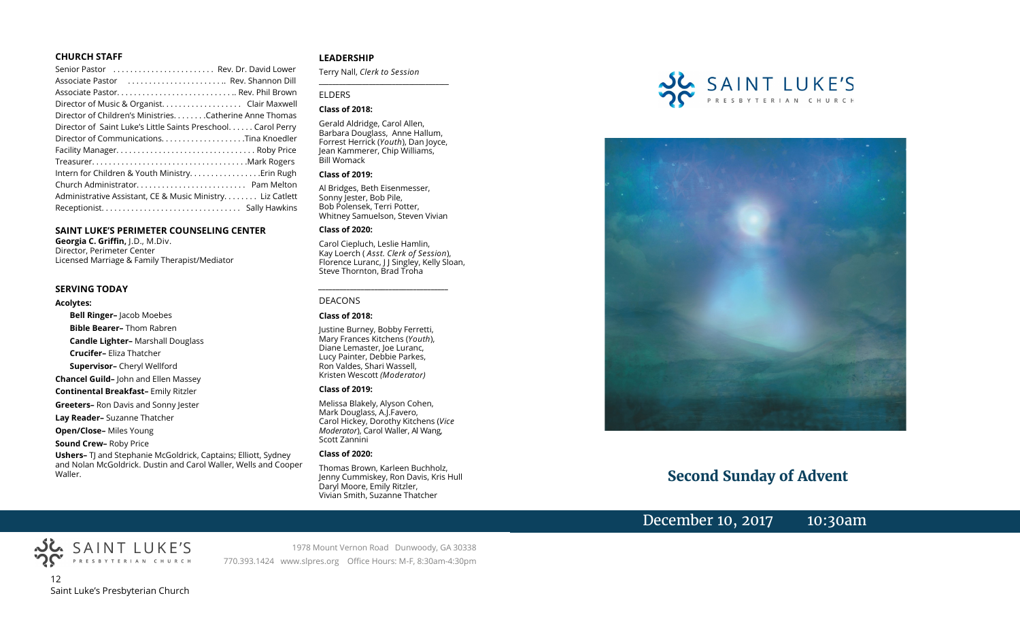#### **CHURCH STAFF**

| Senior Pastor  Rev. Dr. David Lower                           |
|---------------------------------------------------------------|
| Associate Pastor  Rev. Shannon Dill                           |
|                                                               |
| Director of Music & Organist. Clair Maxwell                   |
| Director of Children's Ministries. Catherine Anne Thomas      |
| Director of Saint Luke's Little Saints Preschool. Carol Perry |
| Director of CommunicationsTina Knoedler                       |
|                                                               |
|                                                               |
|                                                               |
|                                                               |
| Administrative Assistant, CE & Music Ministry Liz Catlett     |
|                                                               |

#### **SAINT LUKE'S PERIMETER COUNSELING CENTER**

**Georgia C. Griffin,** J.D., M.Div. Director, Perimeter Center Licensed Marriage & Family Therapist/Mediator

#### **SERVING TODAY**

#### **Acolytes:**

**Bell Ringer–** Jacob Moebes **Bible Bearer–** Thom Rabren **Candle Lighter–** Marshall Douglass **Crucifer–** Eliza Thatcher **Supervisor–** Cheryl Wellford **Chancel Guild–** John and Ellen Massey **Continental Breakfast–** Emily Ritzler **Greeters–** Ron Davis and Sonny Jester **Lay Reader–** Suzanne Thatcher **Open/Close–** Miles Young **Sound Crew–** Roby Price

**Ushers–** TJ and Stephanie McGoldrick, Captains; Elliott, Sydney and Nolan McGoldrick. Dustin and Carol Waller, Wells and Cooper Waller.

#### **LEADERSHIP**

Terry Nall, *Clerk to Session* 

**\_\_\_\_\_\_\_\_\_\_\_\_\_\_\_\_\_\_\_\_\_\_\_\_\_\_\_\_\_\_\_\_\_\_\_\_\_\_\_**

#### ELDERS

#### **Class of 2018:**

Gerald Aldridge, Carol Allen, Barbara Douglass, Anne Hallum, Forrest Herrick (*Youth*), Dan Joyce, Jean Kammerer, Chip Williams, Bill Womack

#### **Class of 2019:**

Al Bridges, Beth Eisenmesser, Sonny Jester, Bob Pile, Bob Polensek, Terri Potter, Whitney Samuelson, Steven Vivian

#### **Class of 2020:**

Carol Ciepluch, Leslie Hamlin, Kay Loerch ( *Asst. Clerk of Session*), Florence Luranc, J J Singley, Kelly Sloan, Steve Thornton, Brad Troha

*\_\_\_\_\_\_\_\_\_\_\_\_\_\_\_\_\_\_\_\_\_\_\_\_\_\_\_\_\_\_\_\_\_\_\_\_\_*

#### DEACONS

#### **Class of 2018:**

Justine Burney, Bobby Ferretti, Mary Frances Kitchens (*Youth*), Diane Lemaster, Joe Luranc, Lucy Painter, Debbie Parkes, Ron Valdes, Shari Wassell, Kristen Wescott *(Moderator)*

#### **Class of 2019:**

Melissa Blakely, Alyson Cohen, Mark Douglass, A.J.Favero, Carol Hickey, Dorothy Kitchens (*Vice Moderator*), Carol Waller, Al Wang, Scott Zannini

#### **Class of 2020:**

Thomas Brown, Karleen Buchholz, Jenny Cummiskey, Ron Davis, Kris Hull Daryl Moore, Emily Ritzler, Vivian Smith, Suzanne Thatcher





# **Second Sunday of Advent**

# December 10, 2017 10:30am



SAINT LUKE'S

1978 Mount Vernon Road Dunwoody, GA 30338 770.393.1424 www.slpres.org Office Hours: M-F, 8:30am-4:30pm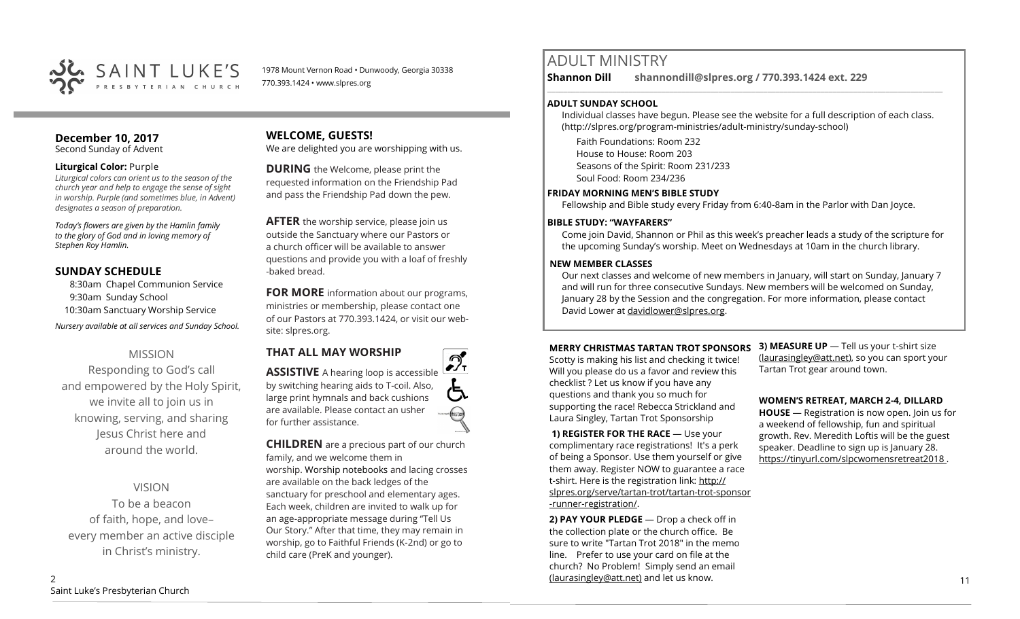

1978 Mount Vernon Road • Dunwoody, Georgia 30338 770.393.1424 • www.slpres.org

#### **December 10, 2017**  Second Sunday of Advent

#### **Liturgical Color:** Purple

*Liturgical colors can orient us to the season of the church year and help to engage the sense of sight in worship. Purple (and sometimes blue, in Advent) designates a season of preparation.*

*Today's flowers are given by the Hamlin family to the glory of God and in loving memory of Stephen Roy Hamlin.* 

# **SUNDAY SCHEDULE**

8:30am Chapel Communion Service 9:30am Sunday School 10:30am Sanctuary Worship Service *Nursery available at all services and Sunday School.* 

# MISSION

Responding to God's call and empowered by the Holy Spirit, we invite all to join us in knowing, serving, and sharing Jesus Christ here and around the world.

VISION

To be a beacon of faith, hope, and love– every member an active disciple in Christ's ministry.

# **WELCOME, GUESTS!**

We are delighted you are worshipping with us.

**DURING** the Welcome, please print the requested information on the Friendship Pad and pass the Friendship Pad down the pew.

**AFTER** the worship service, please join us outside the Sanctuary where our Pastors or a church officer will be available to answer questions and provide you with a loaf of freshly -baked bread.

**FOR MORE** information about our programs, ministries or membership, please contact one of our Pastors at 770.393.1424, or visit our website: slpres.org.

**THAT ALL MAY WORSHIP**



**CHILDREN** are a precious part of our church family, and we welcome them in worship. Worship notebooks and lacing crosses are available on the back ledges of the sanctuary for preschool and elementary ages. Each week, children are invited to walk up for an age-appropriate message during "Tell Us Our Story." After that time, they may remain in worship, go to Faithful Friends (K-2nd) or go to child care (PreK and younger).

# ADULT MINISTRY

**Shannon Dill shannondill@slpres.org / 770.393.1424 ext. 229** 

# **ADULT SUNDAY SCHOOL**

Individual classes have begun. Please see the website for a full description of each class. (http://slpres.org/program-ministries/adult-ministry/sunday-school)

 $\_$  ,  $\_$  ,  $\_$  ,  $\_$  ,  $\_$  ,  $\_$  ,  $\_$  ,  $\_$  ,  $\_$  ,  $\_$  ,  $\_$  ,  $\_$  ,  $\_$  ,  $\_$  ,  $\_$  ,  $\_$  ,  $\_$  ,  $\_$  ,  $\_$  ,  $\_$ 

Faith Foundations: Room 232 House to House: Room 203 Seasons of the Spirit: Room 231/233 Soul Food: Room 234/236

### **FRIDAY MORNING MEN'S BIBLE STUDY**

Fellowship and Bible study every Friday from 6:40-8am in the Parlor with Dan Joyce.

## **BIBLE STUDY: "WAYFARERS"**

Come join David, Shannon or Phil as this week's preacher leads a study of the scripture for the upcoming Sunday's worship. Meet on Wednesdays at 10am in the church library.

## **NEW MEMBER CLASSES**

Our next classes and welcome of new members in January, will start on Sunday, January 7 and will run for three consecutive Sundays. New members will be welcomed on Sunday, January 28 by the Session and the congregation. For more information, please contact David Lower at davidlower@slpres.org.

### **MERRY CHRISTMAS TARTAN TROT SPONSORS**

Scotty is making his list and checking it twice! Will you please do us a favor and review this checklist ? Let us know if you have any questions and thank you so much for supporting the race! Rebecca Strickland and Laura Singley, Tartan Trot Sponsorship

**1) REGISTER FOR THE RACE** — Use your complimentary race registrations! It's a perk of being a Sponsor. Use them yourself or give them away. Register NOW to guarantee a race t-shirt. Here is the registration link: [http://](http://slpres.org/serve/tartan-trot/tartan-trot-sponsor-runner-registration/) [slpres.org/serve/tartan](http://slpres.org/serve/tartan-trot/tartan-trot-sponsor-runner-registration/)-trot/tartan-trot-sponsor -runner-[registration/.](http://slpres.org/serve/tartan-trot/tartan-trot-sponsor-runner-registration/)

**2) PAY YOUR PLEDGE** — Drop a check off in the collection plate or the church office. Be sure to write "Tartan Trot 2018" in the memo line. Prefer to use your card on file at the church? No Problem! Simply send an email [\(laurasingley@att.net\)](mailto:laurasingley@att.net) and let us know.

**3) MEASURE UP** — Tell us your t-shirt size ([laurasingley@att.net\)](mailto:laurasingley@att.net), so you can sport your Tartan Trot gear around town.

**WOMEN'S RETREAT, MARCH 2-4, DILLARD** 

**HOUSE** — Registration is now open. Join us for a weekend of fellowship, fun and spiritual growth. Rev. Meredith Loftis will be the guest speaker. Deadline to sign up is January 28. https://tinyurl.com/slpcwomensretreat2018 .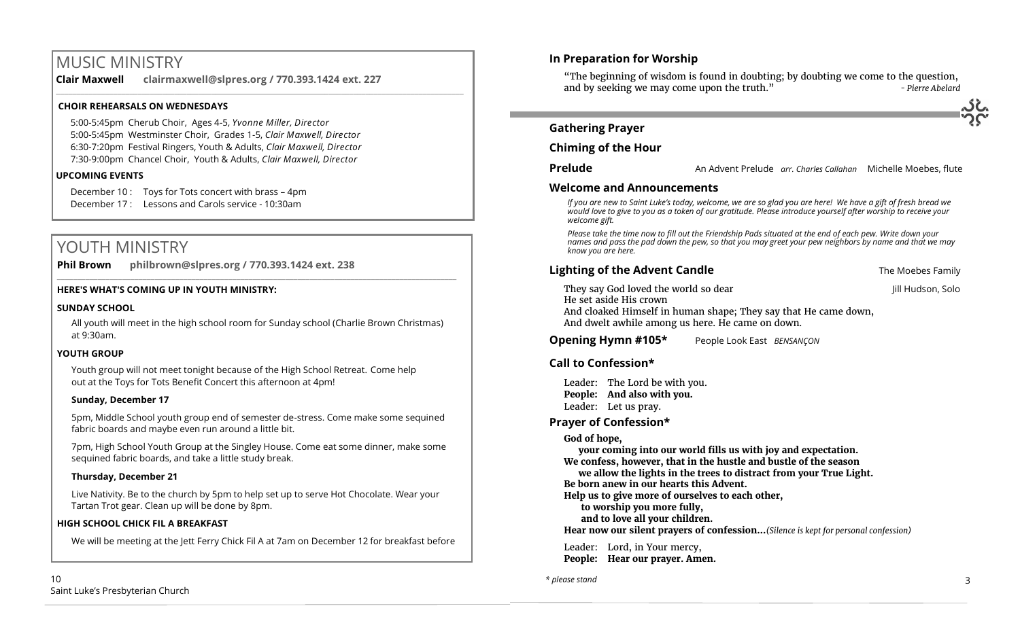# MUSIC MINISTRY

**Clair Maxwell clairmaxwell@slpres.org / 770.393.1424 ext. 227** 

\_\_\_\_\_\_\_\_\_\_\_\_\_\_\_\_\_\_\_\_\_\_\_\_\_\_\_\_\_\_\_\_\_\_\_\_\_\_\_\_\_\_\_\_\_\_\_\_\_\_\_\_\_\_\_\_\_\_\_\_\_\_\_\_\_\_\_\_\_\_\_\_\_\_\_\_\_\_\_\_\_\_\_\_\_\_\_\_\_\_\_\_\_\_\_\_\_\_\_\_

## **CHOIR REHEARSALS ON WEDNESDAYS**

5:00-5:45pm Cherub Choir, Ages 4-5, *Yvonne Miller, Director*  5:00-5:45pm Westminster Choir, Grades 1-5, *Clair Maxwell, Director*  6:30-7:20pm Festival Ringers, Youth & Adults, *Clair Maxwell, Director*  7:30-9:00pm Chancel Choir, Youth & Adults, *Clair Maxwell, Director* 

### **UPCOMING EVENTS**

December 10 : Toys for Tots concert with brass – 4pm December 17 : Lessons and Carols service - 10:30am

# YOUTH MINISTRY

**Phil Brown philbrown@slpres.org / 770.393.1424 ext. 238**   $\_$  ,  $\_$  ,  $\_$  ,  $\_$  ,  $\_$  ,  $\_$  ,  $\_$  ,  $\_$  ,  $\_$  ,  $\_$  ,  $\_$  ,  $\_$  ,  $\_$  ,  $\_$  ,  $\_$  ,  $\_$  ,  $\_$  ,  $\_$  ,  $\_$  ,  $\_$ 

### **HERE'S WHAT'S COMING UP IN YOUTH MINISTRY:**

#### **SUNDAY SCHOOL**

All youth will meet in the high school room for Sunday school (Charlie Brown Christmas) at 9:30am.

### **YOUTH GROUP**

Youth group will not meet tonight because of the High School Retreat. Come help out at the Toys for Tots Benefit Concert this afternoon at 4pm!

# **Sunday, December 17**

5pm, Middle School youth group end of semester de-stress. Come make some sequined fabric boards and maybe even run around a little bit.

7pm, High School Youth Group at the Singley House. Come eat some dinner, make some sequined fabric boards, and take a little study break.

# **Thursday, December 21**

Live Nativity. Be to the church by 5pm to help set up to serve Hot Chocolate. Wear your Tartan Trot gear. Clean up will be done by 8pm.

### **HIGH SCHOOL CHICK FIL A BREAKFAST**

We will be meeting at the Jett Ferry Chick Fil A at 7am on December 12 for breakfast before

# **In Preparation for Worship**  "The beginning of wisdom is found in doubting; by doubting we come to the question, and by seeking we may come upon the truth." *- Pierre Abelard* **Gathering Prayer Chiming of the Hour Prelude** An Advent Prelude *arr. Charles Callahan* Michelle Moebes, flute **Welcome and Announcements**  *If you are new to Saint Luke's today, welcome, we are so glad you are here! We have a gift of fresh bread we would love to give to you as a token of our gratitude. Please introduce yourself after worship to receive your welcome gift. Please take the time now to fill out the Friendship Pads situated at the end of each pew. Write down your names and pass the pad down the pew, so that you may greet your pew neighbors by name and that we may know you are here.* **Lighting of the Advent Candle The Moebes Family The Moebes Family** They say God loved the world so dear **Jill Hudson**, Solo He set aside His crown And cloaked Himself in human shape; They say that He came down, And dwelt awhile among us here. He came on down. **Opening Hymn #105\*** People Look East *BENSANÇON*  **Call to Confession\*** Leader: The Lord be with you. **People: And also with you.** Leader: Let us pray. **Prayer of Confession\* God of hope, your coming into our world fills us with joy and expectation. We confess, however, that in the hustle and bustle of the season we allow the lights in the trees to distract from your True Light.**

10 Saint Luke's Presbyterian Church

*\* please stand*

**Be born anew in our hearts this Advent.**

**to worship you more fully, and to love all your children.**

Leader: Lord, in Your mercy, **People: Hear our prayer. Amen.**

**Help us to give more of ourselves to each other,**

**Hear now our silent prayers of confession…***(Silence is kept for personal confession)* 

3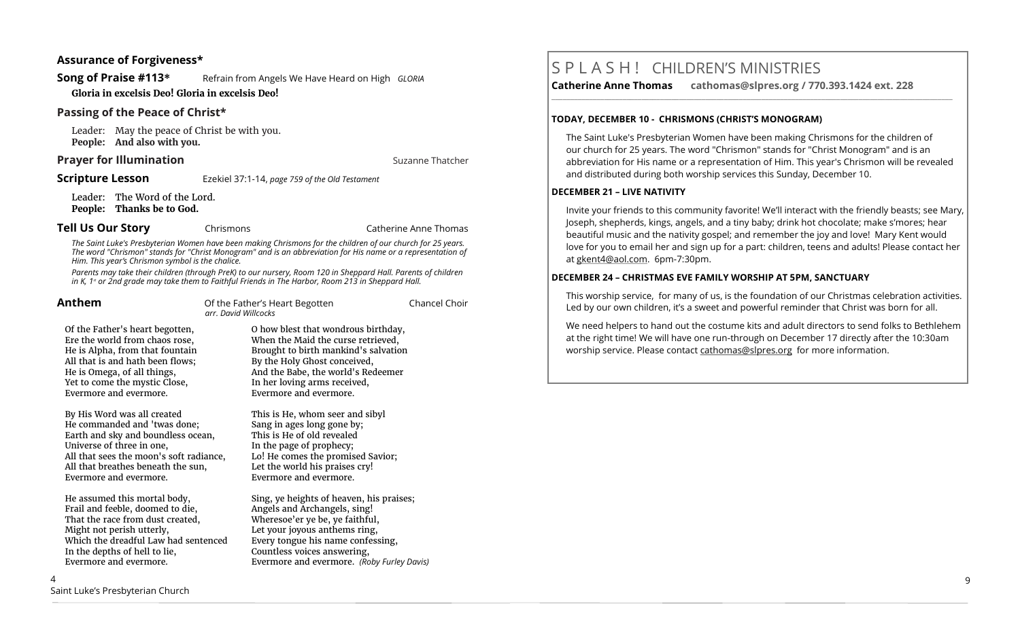#### **Assurance of Forgiveness\***

**Song of Praise #113**<sup>\*</sup> Refrain from Angels We Have Heard on High *GLORIA* **Gloria in excelsis Deo! Gloria in excelsis Deo!** 

#### **Passing of the Peace of Christ\***

Leader: May the peace of Christ be with you. **People: And also with you.**

## **Prayer for Illumination Suzanne Thatcher Suzanne Thatcher Suzanne Thatcher**

**Scripture Lesson** Ezekiel 37:1-14, *page 759 of the Old Testament* 

Leader: The Word of the Lord. **People: Thanks be to God.**

#### **Tell Us Our Story Chrismons Catherine Anne Thomas**

*The Saint Luke's Presbyterian Women have been making Chrismons for the children of our church for 25 years. The word "Chrismon" stands for "Christ Monogram" and is an abbreviation for His name or a representation of Him. This year's Chrismon symbol is the chalice.*

*Parents may take their children (through PreK) to our nursery, Room 120 in Sheppard Hall. Parents of children in K, 1<sup><i>st*</sup> or 2nd grade may take them to Faithful Friends in The Harbor, Room 213 in Sheppard Hall.

| Anthem                                                                                                                                                                                                                                    | Of the Father's Heart Begotten<br>arr, David Willcocks                                                                                                                                                                                            | Chancel Choir |
|-------------------------------------------------------------------------------------------------------------------------------------------------------------------------------------------------------------------------------------------|---------------------------------------------------------------------------------------------------------------------------------------------------------------------------------------------------------------------------------------------------|---------------|
| Of the Father's heart begotten,<br>Ere the world from chaos rose,<br>He is Alpha, from that fountain<br>All that is and hath been flows;<br>He is Omega, of all things,<br>Yet to come the mystic Close,<br>Evermore and evermore.        | O how blest that wondrous birthday,<br>When the Maid the curse retrieved,<br>Brought to birth mankind's salvation<br>By the Holy Ghost conceived,<br>And the Babe, the world's Redeemer<br>In her loving arms received,<br>Evermore and evermore. |               |
| By His Word was all created<br>He commanded and 'twas done;<br>Earth and sky and boundless ocean,<br>Universe of three in one,<br>All that sees the moon's soft radiance,<br>All that breathes beneath the sun,<br>Evermore and evermore. | This is He, whom seer and sibyl<br>Sang in ages long gone by;<br>This is He of old revealed<br>In the page of prophecy;<br>Lo! He comes the promised Savior;<br>Let the world his praises cry!<br>Evermore and evermore.                          |               |

He assumed this mortal body, Frail and feeble, doomed to die, That the race from dust created, Might not perish utterly, Which the dreadful Law had sentenced In the depths of hell to lie, Evermore and evermore.

4 Saint Luke's Presbyterian Church Sing, ye heights of heaven, his praises; Angels and Archangels, sing! Wheresoe'er ye be, ye faithful, Let your joyous anthems ring. Every tongue his name confessing, Countless voices answering, Evermore and evermore. *(Roby Furley Davis)*

# S P L A S H ! CHILDREN'S MINISTRIES

**Catherine Anne Thomas cathomas@slpres.org / 770.393.1424 ext. 228 \_\_\_\_\_\_\_\_\_\_\_\_\_\_\_\_\_\_\_\_\_\_\_\_\_\_\_\_\_\_\_\_\_\_\_\_\_\_\_\_\_\_\_\_\_\_\_\_\_\_\_\_\_\_\_\_\_\_\_\_\_\_\_\_\_\_\_\_\_\_\_\_\_\_\_\_\_\_\_\_\_\_\_\_\_\_\_\_\_\_\_\_\_\_\_\_\_\_\_\_\_\_\_\_\_\_\_** 

#### **TODAY, DECEMBER 10 - CHRISMONS (CHRIST'S MONOGRAM)**

The Saint Luke's Presbyterian Women have been making Chrismons for the children of our church for 25 years. The word "Chrismon" stands for "Christ Monogram" and is an abbreviation for His name or a representation of Him. This year's Chrismon will be revealed and distributed during both worship services this Sunday, December 10.

#### **DECEMBER 21 – LIVE NATIVITY**

Invite your friends to this community favorite! We'll interact with the friendly beasts; see Mary, Joseph, shepherds, kings, angels, and a tiny baby; drink hot chocolate; make s'mores; hear beautiful music and the nativity gospel; and remember the joy and love! Mary Kent would love for you to email her and sign up for a part: children, teens and adults! Please contact her at gkent4@aol.com. 6pm-7:30pm.

#### **DECEMBER 24 – CHRISTMAS EVE FAMILY WORSHIP AT 5PM, SANCTUARY**

This worship service, for many of us, is the foundation of our Christmas celebration activities. Led by our own children, it's a sweet and powerful reminder that Christ was born for all.

We need helpers to hand out the costume kits and adult directors to send folks to Bethlehem at the right time! We will have one run-through on December 17 directly after the 10:30am worship service. Please contact [cathomas@slpres.org](mailto:cathomas@slpres.org) for more information.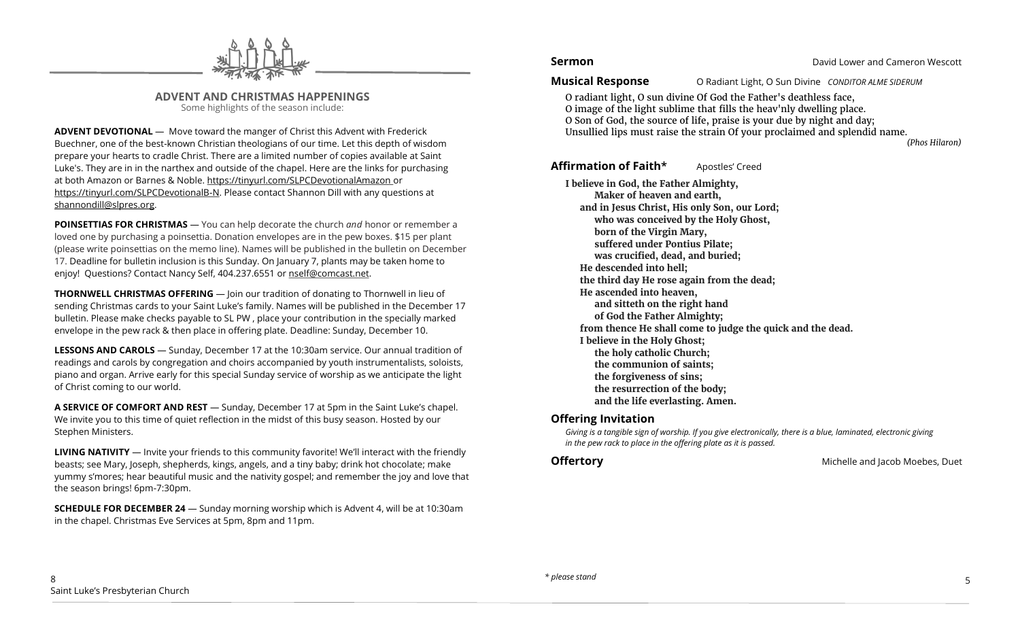

**ADVENT AND CHRISTMAS HAPPENINGS** Some highlights of the season include:

**ADVENT DEVOTIONAL** — Move toward the manger of Christ this Advent with Frederick Buechner, one of the best-known Christian theologians of our time. Let this depth of wisdom prepare your hearts to cradle Christ. There are a limited number of copies available at Saint Luke's. They are in in the narthex and outside of the chapel. Here are the links for purchasing at both Amazon or Barnes & Noble. https://tinyurl.com/SLPCDevotionalAmazon or https://tinyurl.com/SLPCDevotionalB-N. Please contact Shannon Dill with any questions at [shannondill@slpres.org.](mailto:shannondill@slpres.org)

**POINSETTIAS FOR CHRISTMAS** — You can help decorate the church *and* honor or remember a loved one by purchasing a poinsettia. Donation envelopes are in the pew boxes. \$15 per plant (please write poinsettias on the memo line). Names will be published in the bulletin on December 17. Deadline for bulletin inclusion is this Sunday. On January 7, plants may be taken home to enjoy! Questions? Contact Nancy Self, 404.237.6551 or nself@comcast.net.

**THORNWELL CHRISTMAS OFFERING** — Join our tradition of donating to Thornwell in lieu of sending Christmas cards to your Saint Luke's family. Names will be published in the December 17 bulletin. Please make checks payable to SL PW , place your contribution in the specially marked envelope in the pew rack & then place in offering plate. Deadline: Sunday, December 10.

**LESSONS AND CAROLS** — Sunday, December 17 at the 10:30am service. Our annual tradition of readings and carols by congregation and choirs accompanied by youth instrumentalists, soloists, piano and organ. Arrive early for this special Sunday service of worship as we anticipate the light of Christ coming to our world.

**A SERVICE OF COMFORT AND REST** — Sunday, December 17 at 5pm in the Saint Luke's chapel. We invite you to this time of quiet reflection in the midst of this busy season. Hosted by our Stephen Ministers.

**LIVING NATIVITY** — Invite your friends to this community favorite! We'll interact with the friendly beasts; see Mary, Joseph, shepherds, kings, angels, and a tiny baby; drink hot chocolate; make yummy s'mores; hear beautiful music and the nativity gospel; and remember the joy and love that the season brings! 6pm-7:30pm.

**SCHEDULE FOR DECEMBER 24** — Sunday morning worship which is Advent 4, will be at 10:30am in the chapel. Christmas Eve Services at 5pm, 8pm and 11pm.

## **Sermon Sermon David Lower and Cameron Wescott**

**Musical Response** O Radiant Light, O Sun Divine *CONDITOR ALME SIDERUM* 

O radiant light, O sun divine Of God the Father's deathless face, O image of the light sublime that fills the heav'nly dwelling place. O Son of God, the source of life, praise is your due by night and day; Unsullied lips must raise the strain Of your proclaimed and splendid name.

*(Phos Hilaron)*

# **Affirmation of Faith\*** Apostles' Creed

**I believe in God, the Father Almighty, Maker of heaven and earth, and in Jesus Christ, His only Son, our Lord; who was conceived by the Holy Ghost, born of the Virgin Mary, suffered under Pontius Pilate; was crucified, dead, and buried; He descended into hell; the third day He rose again from the dead; He ascended into heaven, and sitteth on the right hand of God the Father Almighty; from thence He shall come to judge the quick and the dead. I believe in the Holy Ghost; the holy catholic Church; the communion of saints; the forgiveness of sins; the resurrection of the body; and the life everlasting. Amen.**

# **Offering Invitation**

*Giving is a tangible sign of worship. If you give electronically, there is a blue, laminated, electronic giving in the pew rack to place in the offering plate as it is passed.*

**Offertory Michelle and Jacob Moebes, Duet**